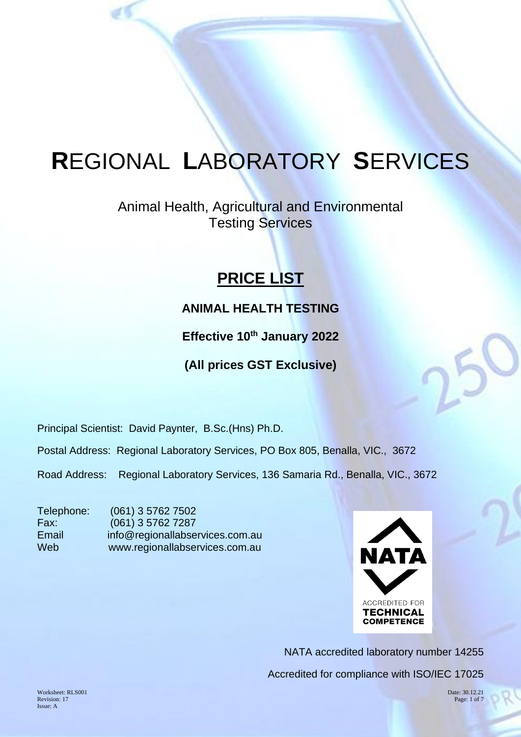## Animal Health, Agricultural and Environmental Testing Services

# **PRICE LIST**

## **ANIMAL HEALTH TESTING**

**Effective 10th January 2022**

**(All prices GST Exclusive)**

Principal Scientist: David Paynter, B.Sc.(Hns) Ph.D.

Postal Address: Regional Laboratory Services, PO Box 805, Benalla, VIC., 3672

Road Address: Regional Laboratory Services, 136 Samaria Rd., Benalla, VIC., 3672

Telephone: (061) 3 5762 7502 Fax: (061) 3 5762 7287 Email info@regionallabservices.com.au Web www.regionallabservices.com.au



NATA accredited laboratory number 14255 Accredited for compliance with ISO/IEC 17025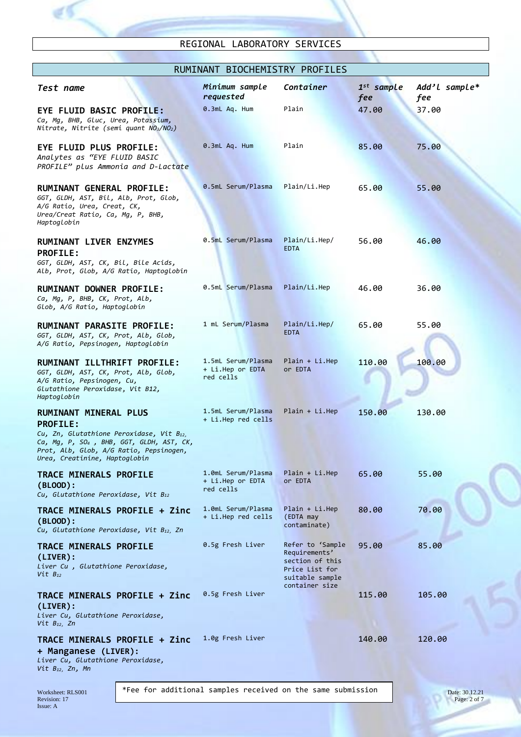

| RUMINANT BIOCHEMISTRY PROFILES                                                                                                                                                                               |                                                             |                                                                                                             |                        |                                |  |
|--------------------------------------------------------------------------------------------------------------------------------------------------------------------------------------------------------------|-------------------------------------------------------------|-------------------------------------------------------------------------------------------------------------|------------------------|--------------------------------|--|
| Test name                                                                                                                                                                                                    | Minimum sample<br>requested                                 | Container                                                                                                   | $1^{st}$ sample<br>fee | Add'l sample*<br>fee           |  |
| EYE FLUID BASIC PROFILE:<br>Ca, Mg, BHB, Gluc, Urea, Potassium,<br>Nitrate, Nitrite (semi quant NO <sub>3</sub> /NO <sub>2</sub> )                                                                           | 0.3mL Aq. Hum                                               | Plain                                                                                                       | 47.00                  | 37.00                          |  |
| EYE FLUID PLUS PROFILE:<br>Analytes as "EYE FLUID BASIC<br>PROFILE" plus Ammonia and D-Lactate                                                                                                               | 0.3mL Aq. Hum                                               | Plain                                                                                                       | 85.00                  | 75.00                          |  |
| RUMINANT GENERAL PROFILE:<br>GGT, GLDH, AST, Bil, Alb, Prot, Glob,<br>A/G Ratio, Urea, Creat, CK,<br>Urea/Creat Ratio, Ca, Mg, P, BHB,<br>Haptoglobin                                                        | 0.5mL Serum/Plasma                                          | Plain/Li.Hep                                                                                                | 65.00                  | 55.00                          |  |
| RUMINANT LIVER ENZYMES<br><b>PROFILE:</b><br>GGT, GLDH, AST, CK, Bil, Bile Acids,<br>Alb, Prot, Glob, A/G Ratio, Haptoglobin                                                                                 | 0.5mL Serum/Plasma                                          | Plain/Li.Hep/<br><b>EDTA</b>                                                                                | 56.00                  | 46.00                          |  |
| RUMINANT DOWNER PROFILE:<br>Ca, Mg, P, BHB, CK, Prot, Alb,<br>Glob, A/G Ratio, Haptoglobin                                                                                                                   | 0.5mL Serum/Plasma                                          | Plain/Li.Hep                                                                                                | 46.00                  | 36.00                          |  |
| RUMINANT PARASITE PROFILE:<br>GGT, GLDH, AST, CK, Prot, Alb, Glob,<br>A/G Ratio, Pepsinogen, Haptoglobin                                                                                                     | 1 mL Serum/Plasma                                           | Plain/Li.Hep/<br><b>EDTA</b>                                                                                | 65.00                  | 55.00                          |  |
| RUMINANT ILLTHRIFT PROFILE:<br>GGT, GLDH, AST, CK, Prot, Alb, Glob,<br>A/G Ratio, Pepsinogen, Cu,<br>Glutathione Peroxidase, Vit B12,<br>Haptoglobin                                                         | 1.5mL Serum/Plasma<br>+ Li.Hep or EDTA<br>red cells         | Plain + Li.Hep<br>or EDTA                                                                                   | 110.00                 | 100.00                         |  |
| RUMINANT MINERAL PLUS<br><b>PROFILE:</b><br>Cu, Zn, Glutathione Peroxidase, Vit B12,<br>Ca, Mq, P, SO4, BHB, GGT, GLDH, AST, CK,<br>Prot, Alb, Glob, A/G Ratio, Pepsinogen,<br>Urea, Creatinine, Haptoglobin | 1.5mL Serum/Plasma<br>+ Li.Hep red cells                    | Plain + Li.Hep                                                                                              | 150.00                 | 130.00                         |  |
| TRACE MINERALS PROFILE<br>(BLOOD):<br>Cu, Glutathione Peroxidase, Vit B12                                                                                                                                    | 1.0mL Serum/Plasma<br>+ Li.Hep or EDTA<br>red cells         | $Plain + Li.Hep$<br>or EDTA                                                                                 | 65.00                  | 55.00                          |  |
| TRACE MINERALS PROFILE + Zinc<br>(BLOOD):<br>Cu, Glutathione Peroxidase, Vit B12, Zn                                                                                                                         | 1.0mL Serum/Plasma<br>+ Li.Hep red cells                    | Plain + Li.Hep<br>(EDTA may<br>contaminate)                                                                 | 80.00                  | 70.00                          |  |
| TRACE MINERALS PROFILE<br>(LIVER):<br>Liver Cu, Glutathione Peroxidase,<br>Vit $B_{12}$                                                                                                                      | 0.5g Fresh Liver                                            | Refer to 'Sample<br>Requirements'<br>section of this<br>Price List for<br>suitable sample<br>container size | 95.00                  | 85.00                          |  |
| TRACE MINERALS PROFILE + Zinc<br>(LIVER):<br>Liver Cu, Glutathione Peroxidase,<br>Vit $B_{12}$ , Zn                                                                                                          | 0.5g Fresh Liver                                            |                                                                                                             | 115.00                 | 105.00                         |  |
| TRACE MINERALS PROFILE + Zinc<br>+ Manganese (LIVER):<br>Liver Cu, Glutathione Peroxidase,<br>Vit $B_{12}$ , Zn, Mn                                                                                          | 1.0g Fresh Liver                                            |                                                                                                             | 140.00                 | 120.00                         |  |
| Worksheet: RLS001<br>Revision: 17                                                                                                                                                                            | *Fee for additional samples received on the same submission |                                                                                                             |                        | Date: 30.12.21<br>Page: 2 of 7 |  |

Revision: 17<br>Issue: A

L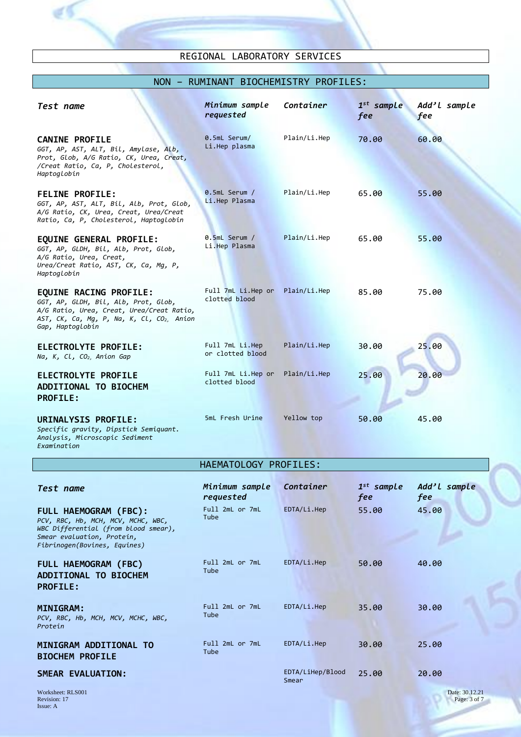| Test name                                                                                                                                                                                        | Minimum sample<br>requested         | Container    | $1^{st}$ sample<br>fee | Add'l sample<br>fee |
|--------------------------------------------------------------------------------------------------------------------------------------------------------------------------------------------------|-------------------------------------|--------------|------------------------|---------------------|
| <b>CANINE PROFILE</b><br>GGT, AP, AST, ALT, Bil, Amylase, Alb,<br>Prot, Glob, A/G Ratio, CK, Urea, Creat,<br>/Creat Ratio, Ca, P, Cholesterol,<br>Haptoglobin                                    | 0.5mL Serum/<br>Li.Hep plasma       | Plain/Li.Hep | 70.00                  | 60.00               |
| <b>FELINE PROFILE:</b><br>GGT, AP, AST, ALT, Bil, Alb, Prot, Glob,<br>A/G Ratio, CK, Urea, Creat, Urea/Creat<br>Ratio, Ca, P, Cholesterol, Haptoglobin                                           | 0.5mL Serum /<br>Li.Hep Plasma      | Plain/Li.Hep | 65.00                  | 55.00               |
| <b>EQUINE GENERAL PROFILE:</b><br>GGT, AP, GLDH, Bil, Alb, Prot, Glob,<br>A/G Ratio, Urea, Creat,<br>Urea/Creat Ratio, AST, CK, Ca, Mq, P,<br>Haptoglobin                                        | 0.5mL Serum /<br>Li.Hep Plasma      | Plain/Li.Hep | 65.00                  | 55.00               |
| <b>EQUINE RACING PROFILE:</b><br>GGT, AP, GLDH, Bil, Alb, Prot, Glob,<br>A/G Ratio, Urea, Creat, Urea/Creat Ratio,<br>AST, CK, Ca, Mg, P, Na, K, Cl, CO <sub>2</sub> , Anion<br>Gap, Haptoglobin | Full 7mL Li.Hep or<br>clotted blood | Plain/Li.Hep | 85.00                  | 75.00               |
| ELECTROLYTE PROFILE:<br>Na, K, Cl, CO <sub>2</sub> , Anion Gap                                                                                                                                   | Full 7mL Li.Hep<br>or clotted blood | Plain/Li.Hep | 30.00                  | 25.00               |
| <b>ELECTROLYTE PROFILE</b><br>ADDITIONAL TO BIOCHEM<br><b>PROFILE:</b>                                                                                                                           | Full 7mL Li.Hep or<br>clotted blood | Plain/Li.Hep | 25.00                  | 20.00               |
| URINALYSIS PROFILE:<br>Specific gravity, Dipstick Semiguant.                                                                                                                                     | 5mL Fresh Urine                     | Yellow top   | 50.00                  | 45.00               |

#### NON – RUMINANT BIOCHEMISTRY PROFILES:

#### HAEMATOLOGY PROFILES:

| Test name                                                                                                                                                         | Minimum sample<br>requested | Container                 | $1^{st}$ sample<br>fee | Add'l sample<br>fee            |
|-------------------------------------------------------------------------------------------------------------------------------------------------------------------|-----------------------------|---------------------------|------------------------|--------------------------------|
| FULL HAEMOGRAM (FBC):<br>PCV, RBC, Hb, MCH, MCV, MCHC, WBC,<br>WBC Differential (from blood smear),<br>Smear evaluation, Protein,<br>Fibrinogen(Bovines, Equines) | Full 2mL or 7mL<br>Tube     | EDTA/Li.Hep               | 55.00                  | 45.00                          |
| FULL HAEMOGRAM (FBC)<br>ADDITIONAL TO BIOCHEM<br><b>PROFILE:</b>                                                                                                  | Full 2mL or 7mL<br>Tube     | EDTA/Li.Hep               | 50.00                  | 40.00                          |
| <b>MINIGRAM:</b><br>PCV, RBC, Hb, MCH, MCV, MCHC, WBC,<br>Protein                                                                                                 | Full 2mL or 7mL<br>Tube     | EDTA/Li.Hep               | 35.00                  | 30.00                          |
| MINIGRAM ADDITIONAL TO<br><b>BIOCHEM PROFILE</b>                                                                                                                  | Full 2mL or 7mL<br>Tube     | EDTA/Li.Hep               | 30.00                  | 25.00                          |
| SMEAR EVALUATION:                                                                                                                                                 |                             | EDTA/LiHep/Blood<br>Smear | 25.00                  | 20.00                          |
| Worksheet: RLS001<br>Revision: 17                                                                                                                                 |                             |                           |                        | Date: 30.12.21<br>Page: 3 of 7 |

Revision: 17 Page: 3 of 7 Revision: 17<br>Issue: A

*Analysis, Microscopic Sediment* 

*Examination*

o C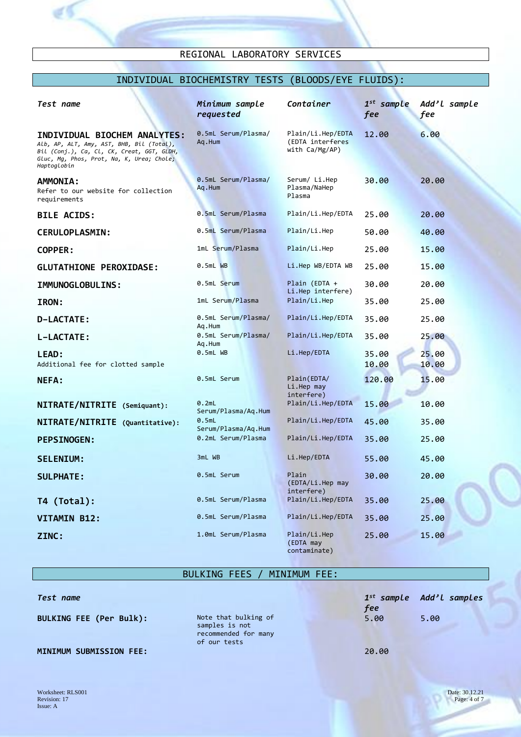

#### INDIVIDUAL BIOCHEMISTRY TESTS (BLOODS/EYE FLUIDS):

| Test name                                                                                                                                                                           | Minimum sample<br>requested   | Container                                                  | $1^{st}$ sample<br>fee | Add'l sample<br>fee |
|-------------------------------------------------------------------------------------------------------------------------------------------------------------------------------------|-------------------------------|------------------------------------------------------------|------------------------|---------------------|
| INDIVIDUAL BIOCHEM ANALYTES:<br>Alb, AP, ALT, Amy, AST, BHB, Bil (Total),<br>Bil (Conj.), Ca, Cl, CK, Creat, GGT, GLDH,<br>Gluc, Mq, Phos, Prot, Na, K, Urea; Chole;<br>Haptoglobin | 0.5mL Serum/Plasma/<br>Aq.Hum | Plain/Li.Hep/EDTA<br>(EDTA interferes<br>with $Ca/Mg/AP$ ) | 12.00                  | 6.00                |
| <b>AMMONIA:</b><br>Refer to our website for collection<br>requirements                                                                                                              | 0.5mL Serum/Plasma/<br>Aq.Hum | Serum/ Li.Hep<br>Plasma/NaHep<br>Plasma                    | 30.00                  | 20.00               |
| <b>BILE ACIDS:</b>                                                                                                                                                                  | 0.5mL Serum/Plasma            | Plain/Li.Hep/EDTA                                          | 25.00                  | 20.00               |
| <b>CERULOPLASMIN:</b>                                                                                                                                                               | 0.5mL Serum/Plasma            | Plain/Li.Hep                                               | 50.00                  | 40.00               |
| <b>COPPER:</b>                                                                                                                                                                      | 1mL Serum/Plasma              | Plain/Li.Hep                                               | 25.00                  | 15.00               |
| <b>GLUTATHIONE PEROXIDASE:</b>                                                                                                                                                      | $0.5mL$ WB                    | Li.Hep WB/EDTA WB                                          | 25.00                  | 15.00               |
| IMMUNOGLOBULINS:                                                                                                                                                                    | 0.5mL Serum                   | Plain (EDTA +                                              | 30.00                  | 20.00               |
| IRON:                                                                                                                                                                               | 1mL Serum/Plasma              | Li.Hep interfere)<br>Plain/Li.Hep                          | 35.00                  | 25.00               |
| <b>D-LACTATE:</b>                                                                                                                                                                   | 0.5mL Serum/Plasma/<br>Aq.Hum | Plain/Li.Hep/EDTA                                          | 35.00                  | 25.00               |
| <b>L-LACTATE:</b>                                                                                                                                                                   | 0.5mL Serum/Plasma/<br>Aq.Hum | Plain/Li.Hep/EDTA                                          | 35.00                  | 25.00               |
| <b>LEAD:</b><br>Additional fee for clotted sample                                                                                                                                   | 0.5mL WB                      | Li.Hep/EDTA                                                | 35.00<br>10.00         | 25.00<br>10.00      |
| <b>NEFA:</b>                                                                                                                                                                        | 0.5mL Serum                   | Plain(EDTA/<br>Li.Hep may<br>interfere)                    | 120.00                 | 15.00               |
| NITRATE/NITRITE (Semiquant):                                                                                                                                                        | 0.2mL<br>Serum/Plasma/Aq.Hum  | Plain/Li.Hep/EDTA                                          | 15.00                  | 10.00               |
| NITRATE/NITRITE (Quantitative):                                                                                                                                                     | 0.5mL<br>Serum/Plasma/Aq.Hum  | Plain/Li.Hep/EDTA                                          | 45.00                  | 35.00               |
| <b>PEPSINOGEN:</b>                                                                                                                                                                  | 0.2mL Serum/Plasma            | Plain/Li.Hep/EDTA                                          | 35.00                  | 25.00               |
| <b>SELENIUM:</b>                                                                                                                                                                    | 3mL WB                        | Li.Hep/EDTA                                                | 55.00                  | 45.00               |
| <b>SULPHATE:</b>                                                                                                                                                                    | 0.5mL Serum                   | Plain<br>(EDTA/Li.Hep may<br>interfere)                    | 30.00                  | 20.00               |
| T4 (Total):                                                                                                                                                                         | 0.5mL Serum/Plasma            | Plain/Li.Hep/EDTA                                          | 35.00                  | 25.00               |
| VITAMIN B12:                                                                                                                                                                        | 0.5mL Serum/Plasma            | Plain/Li.Hep/EDTA                                          | 35.00                  | 25.00               |
| ZINC:                                                                                                                                                                               | 1.0mL Serum/Plasma            | Plain/Li.Hep<br>(EDTA may<br>contaminate)                  | 25.00                  | 15.00               |

#### BULKING FEES / MINIMUM FEE:

| Test name               |                                                                                | fee   | $1^{st}$ sample $Add^{\prime}$ l samples |
|-------------------------|--------------------------------------------------------------------------------|-------|------------------------------------------|
| BULKING FEE (Per Bulk): | Note that bulking of<br>samples is not<br>recommended for many<br>of our tests | 5.00  | 5.00                                     |
| MINIMUM SUBMISSION FEE: |                                                                                | 20.00 |                                          |

Worksheet: RLS001 Date: 30.12.21 Page: 4 of 7 Date: 30.12.21 Page: 4 of 7 Revision: 17 Page: 4 of 7 Revision: 17<br>Issue: A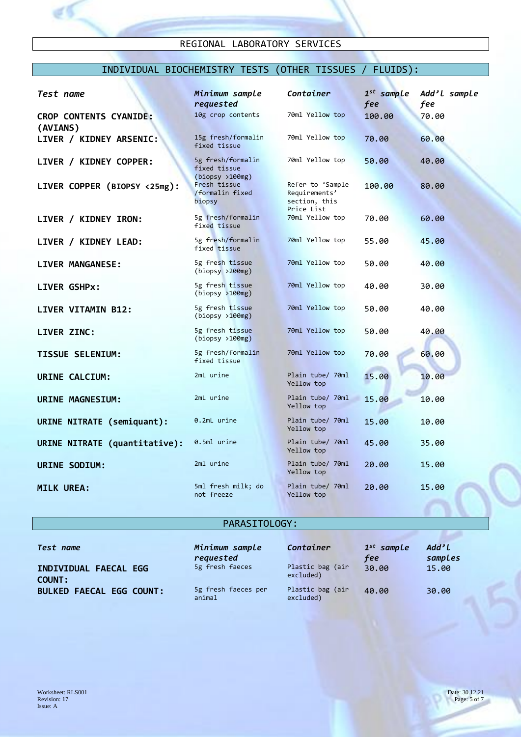

#### INDIVIDUAL BIOCHEMISTRY TESTS (OTHER TISSUES / FLUIDS):

| Test name                                 | Minimum sample<br>requested                          | Container                                                        | $1^{st}$ sample<br>fee | Add'l sample<br>fee |
|-------------------------------------------|------------------------------------------------------|------------------------------------------------------------------|------------------------|---------------------|
| <b>CROP CONTENTS CYANIDE:</b><br>(AVIANS) | 10g crop contents                                    | 70ml Yellow top                                                  | 100.00                 | 70.00               |
| LIVER / KIDNEY ARSENIC:                   | 15g fresh/formalin<br>fixed tissue                   | 70ml Yellow top                                                  | 70.00                  | 60.00               |
| LIVER / KIDNEY COPPER:                    | 5g fresh/formalin<br>fixed tissue<br>(biopy > 100mg) | 70ml Yellow top                                                  | 50.00                  | 40.00               |
| LIVER COPPER (BIOPSY <25mg):              | Fresh tissue<br>/formalin fixed<br>biopsy            | Refer to 'Sample<br>Requirements'<br>section, this<br>Price List | 100.00                 | 80.00               |
| LIVER / KIDNEY IRON:                      | 5g fresh/formalin<br>fixed tissue                    | 70ml Yellow top                                                  | 70.00                  | 60.00               |
| LIVER / KIDNEY LEAD:                      | 5g fresh/formalin<br>fixed tissue                    | 70ml Yellow top                                                  | 55.00                  | 45.00               |
| LIVER MANGANESE:                          | 5g fresh tissue<br>(biopy > 200mg)                   | 70ml Yellow top                                                  | 50.00                  | 40.00               |
| LIVER GSHPx:                              | 5g fresh tissue<br>(biopy > 100mg)                   | 70ml Yellow top                                                  | 40.00                  | 30.00               |
| LIVER VITAMIN B12:                        | 5g fresh tissue<br>(biopy > 100mg)                   | 70ml Yellow top                                                  | 50.00                  | 40.00               |
| LIVER ZINC:                               | 5g fresh tissue<br>(biopy > 100mg)                   | 70ml Yellow top                                                  | 50.00                  | 40.00               |
| <b>TISSUE SELENIUM:</b>                   | 5g fresh/formalin<br>fixed tissue                    | 70ml Yellow top                                                  | 70.00                  | 60.00               |
| URINE CALCIUM:                            | 2mL urine                                            | Plain tube/ 70ml<br>Yellow top                                   | 15.00                  | 10.00               |
| URINE MAGNESIUM:                          | 2mL urine                                            | Plain tube/ 70ml<br>Yellow top                                   | 15.00                  | 10.00               |
| URINE NITRATE (semiquant):                | 0.2mL urine                                          | Plain tube/ 70ml<br>Yellow top                                   | 15.00                  | 10.00               |
| URINE NITRATE (quantitative):             | 0.5ml urine                                          | Plain tube/ 70ml<br>Yellow top                                   | 45.00                  | 35.00               |
| URINE SODIUM:                             | 2ml urine                                            | Plain tube/ 70ml<br>Yellow top                                   | 20.00                  | 15.00               |
| <b>MILK UREA:</b>                         | 5ml fresh milk; do<br>not freeze                     | Plain tube/ 70ml<br>Yellow top                                   | 20.00                  | 15.00               |

#### PARASITOLOGY:

| Test name                                      | Minimum sample<br>requested   | Container                     | $1^{st}$ sample<br>fee | Add'L<br>samples |
|------------------------------------------------|-------------------------------|-------------------------------|------------------------|------------------|
| <b>INDIVIDUAL FAECAL EGG</b><br><b>COUNT :</b> | 5g fresh faeces               | Plastic bag (air<br>excluded) | 30.00                  | 15.00            |
| <b>BULKED FAECAL EGG COUNT:</b>                | 5g fresh faeces per<br>animal | Plastic bag (air<br>excluded) | 40.00                  | 30.00            |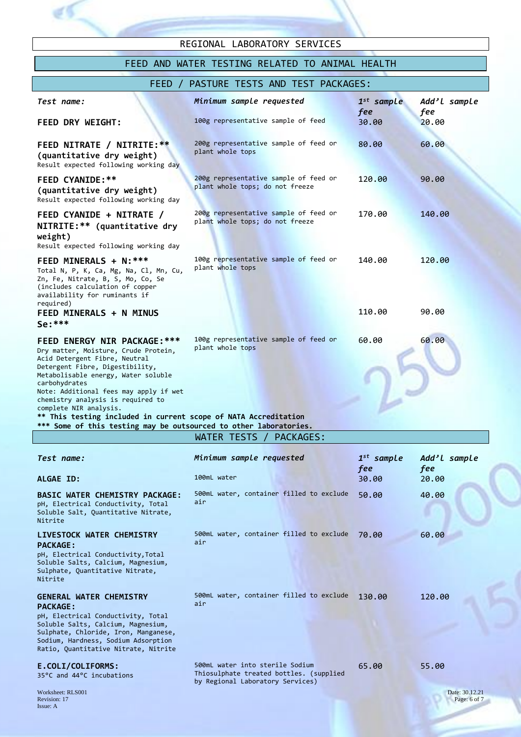

#### FEED AND WATER TESTING RELATED TO ANIMAL HEALTH

#### FEED / PASTURE TESTS AND TEST PACKAGES:

| Test name:                                                                                                                                                                                                                                                                                                                                                                                                                                                | Minimum sample requested                                                 | $1^{st}$ sample        | Add'l sample        |
|-----------------------------------------------------------------------------------------------------------------------------------------------------------------------------------------------------------------------------------------------------------------------------------------------------------------------------------------------------------------------------------------------------------------------------------------------------------|--------------------------------------------------------------------------|------------------------|---------------------|
|                                                                                                                                                                                                                                                                                                                                                                                                                                                           |                                                                          | fee                    | fee                 |
| <b>FEED DRY WEIGHT:</b>                                                                                                                                                                                                                                                                                                                                                                                                                                   | 100g representative sample of feed                                       | 30.00                  | 20.00               |
| FEED NITRATE / NITRITE: **<br>(quantitative dry weight)<br>Result expected following working day                                                                                                                                                                                                                                                                                                                                                          | 200g representative sample of feed or<br>plant whole tops                | 80.00                  | 60.00               |
| <b>FEED CYANIDE:**</b><br>(quantitative dry weight)<br>Result expected following working day                                                                                                                                                                                                                                                                                                                                                              | 200g representative sample of feed or<br>plant whole tops; do not freeze | 120.00                 | 90.00               |
| FEED CYANIDE + NITRATE /<br>NITRITE: ** (quantitative dry<br>weight)<br>Result expected following working day                                                                                                                                                                                                                                                                                                                                             | 200g representative sample of feed or<br>plant whole tops; do not freeze | 170.00                 | 140.00              |
| FEED MINERALS + N: ***<br>Total N, P, K, Ca, Mg, Na, Cl, Mn, Cu,<br>Zn, Fe, Nitrate, B, S, Mo, Co, Se<br>(includes calculation of copper<br>availability for ruminants if<br>required)                                                                                                                                                                                                                                                                    | 100g representative sample of feed or<br>plant whole tops                | 140.00                 | 120.00              |
| FEED MINERALS + N MINUS<br>Se: ***                                                                                                                                                                                                                                                                                                                                                                                                                        |                                                                          | 110.00                 | 90.00               |
| <b>FEED ENERGY NIR PACKAGE: ****</b><br>Dry matter, Moisture, Crude Protein,<br>Acid Detergent Fibre, Neutral<br>Detergent Fibre, Digestibility,<br>Metabolisable energy, Water soluble<br>carbohydrates<br>Note: Additional fees may apply if wet<br>chemistry analysis is required to<br>complete NIR analysis.<br>** This testing included in current scope of NATA Accreditation<br>*** Some of this testing may be outsourced to other laboratories. | 100g representative sample of feed or<br>plant whole tops                | 60.00                  | 60.00               |
|                                                                                                                                                                                                                                                                                                                                                                                                                                                           | WATER TESTS / PACKAGES:                                                  |                        |                     |
| Test name:                                                                                                                                                                                                                                                                                                                                                                                                                                                | Minimum sample requested                                                 | $1^{st}$ sample<br>fee | Add'l sample<br>fee |
| ALGAE ID:                                                                                                                                                                                                                                                                                                                                                                                                                                                 | 100mL water                                                              | 30.00                  | 20.00               |
| <b>BASIC WATER CHEMISTRY PACKAGE:</b><br>pH, Electrical Conductivity, Total<br>Soluble Salt, Quantitative Nitrate,<br>Nitrite                                                                                                                                                                                                                                                                                                                             | 500mL water, container filled to exclude<br>air                          | 50.00                  | 40.00               |
| LIVESTOCK WATER CHEMISTRY<br><b>PACKAGE:</b><br>pH, Electrical Conductivity, Total<br>Soluble Salts, Calcium, Magnesium,<br>Sulphate, Quantitative Nitrate,<br>Nitrite                                                                                                                                                                                                                                                                                    | 500mL water, container filled to exclude<br>air                          | 70.00                  | 60.00               |
| <b>GENERAL WATER CHEMISTRY</b><br><b>PACKAGE:</b><br>pH, Electrical Conductivity, Total<br>Soluble Salts, Calcium, Magnesium,<br>Sulphate, Chloride, Iron, Manganese,<br>Sodium, Hardness, Sodium Adsorption<br>Ratio, Quantitative Nitrate, Nitrite                                                                                                                                                                                                      | 500mL water, container filled to exclude<br>air                          | 130.00                 | 120.00              |

500mL water into sterile Sodium

by Regional Laboratory Services)

Thiosulphate treated bottles. (supplied

**E.COLI/COLIFORMS:**

35°C and 44°C incubations

Worksheet: RLS001 Date: 30.12.21 Revision: 17 Page: 6 of 7 Revision: 17<br>Issue: A

65.00 55.00